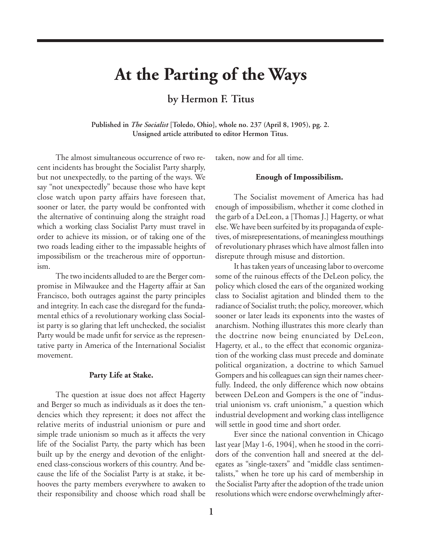# **At the Parting of the Ways**

## **by Hermon F. Titus**

**Published in** *The Socialist* **[Toledo, Ohio], whole no. 237 (April 8, 1905), pg. 2. Unsigned article attributed to editor Hermon Titus.**

The almost simultaneous occurrence of two recent incidents has brought the Socialist Party sharply, but not unexpectedly, to the parting of the ways. We say "not unexpectedly" because those who have kept close watch upon party affairs have foreseen that, sooner or later, the party would be confronted with the alternative of continuing along the straight road which a working class Socialist Party must travel in order to achieve its mission, or of taking one of the two roads leading either to the impassable heights of impossibilism or the treacherous mire of opportunism.

The two incidents alluded to are the Berger compromise in Milwaukee and the Hagerty affair at San Francisco, both outrages against the party principles and integrity. In each case the disregard for the fundamental ethics of a revolutionary working class Socialist party is so glaring that left unchecked, the socialist Party would be made unfit for service as the representative party in America of the International Socialist movement.

#### **Party Life at Stake.**

The question at issue does not affect Hagerty and Berger so much as individuals as it does the tendencies which they represent; it does not affect the relative merits of industrial unionism or pure and simple trade unionism so much as it affects the very life of the Socialist Party, the party which has been built up by the energy and devotion of the enlightened class-conscious workers of this country. And because the life of the Socialist Party is at stake, it behooves the party members everywhere to awaken to their responsibility and choose which road shall be

taken, now and for all time.

#### **Enough of Impossibilism.**

The Socialist movement of America has had enough of impossibilism, whether it come clothed in the garb of a DeLeon, a [Thomas J.] Hagerty, or what else. We have been surfeited by its propaganda of expletives, of misrepresentations, of meaningless mouthings of revolutionary phrases which have almost fallen into disrepute through misuse and distortion.

It has taken years of unceasing labor to overcome some of the ruinous effects of the DeLeon policy, the policy which closed the ears of the organized working class to Socialist agitation and blinded them to the radiance of Socialist truth; the policy, moreover, which sooner or later leads its exponents into the wastes of anarchism. Nothing illustrates this more clearly than the doctrine now being enunciated by DeLeon, Hagerty, et al., to the effect that economic organization of the working class must precede and dominate political organization, a doctrine to which Samuel Gompers and his colleagues can sign their names cheerfully. Indeed, the only difference which now obtains between DeLeon and Gompers is the one of "industrial unionism vs. craft unionism," a question which industrial development and working class intelligence will settle in good time and short order.

Ever since the national convention in Chicago last year [May 1-6, 1904], when he stood in the corridors of the convention hall and sneered at the delegates as "single-taxers" and "middle class sentimentalists," when he tore up his card of membership in the Socialist Party after the adoption of the trade union resolutions which were endorse overwhelmingly after-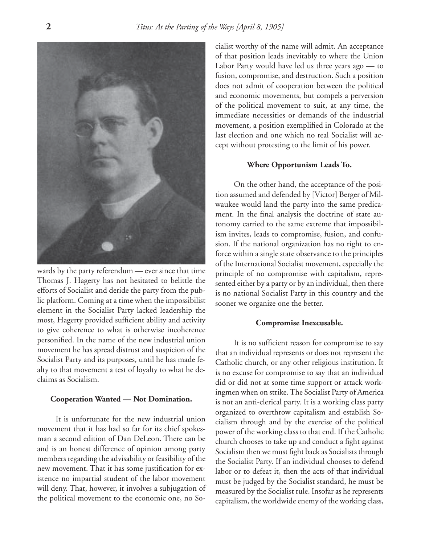

wards by the party referendum — ever since that time Thomas J. Hagerty has not hesitated to belittle the efforts of Socialist and deride the party from the public platform. Coming at a time when the impossibilist element in the Socialist Party lacked leadership the most, Hagerty provided sufficient ability and activity to give coherence to what is otherwise incoherence personified. In the name of the new industrial union movement he has spread distrust and suspicion of the Socialist Party and its purposes, until he has made fealty to that movement a test of loyalty to what he declaims as Socialism.

#### **Cooperation Wanted — Not Domination.**

It is unfortunate for the new industrial union movement that it has had so far for its chief spokesman a second edition of Dan DeLeon. There can be and is an honest difference of opinion among party members regarding the advisability or feasibility of the new movement. That it has some justification for existence no impartial student of the labor movement will deny. That, however, it involves a subjugation of the political movement to the economic one, no Socialist worthy of the name will admit. An acceptance of that position leads inevitably to where the Union Labor Party would have led us three years ago — to fusion, compromise, and destruction. Such a position does not admit of cooperation between the political and economic movements, but compels a perversion of the political movement to suit, at any time, the immediate necessities or demands of the industrial movement, a position exemplified in Colorado at the last election and one which no real Socialist will accept without protesting to the limit of his power.

#### **Where Opportunism Leads To.**

On the other hand, the acceptance of the position assumed and defended by [Victor] Berger of Milwaukee would land the party into the same predicament. In the final analysis the doctrine of state autonomy carried to the same extreme that impossibilism invites, leads to compromise, fusion, and confusion. If the national organization has no right to enforce within a single state observance to the principles of the International Socialist movement, especially the principle of no compromise with capitalism, represented either by a party or by an individual, then there is no national Socialist Party in this country and the sooner we organize one the better.

#### **Compromise Inexcusable.**

It is no sufficient reason for compromise to say that an individual represents or does not represent the Catholic church, or any other religious institution. It is no excuse for compromise to say that an individual did or did not at some time support or attack workingmen when on strike. The Socialist Party of America is not an anti-clerical party. It is a working class party organized to overthrow capitalism and establish Socialism through and by the exercise of the political power of the working class to that end. If the Catholic church chooses to take up and conduct a fight against Socialism then we must fight back as Socialists through the Socialist Party. If an individual chooses to defend labor or to defeat it, then the acts of that individual must be judged by the Socialist standard, he must be measured by the Socialist rule. Insofar as he represents capitalism, the worldwide enemy of the working class,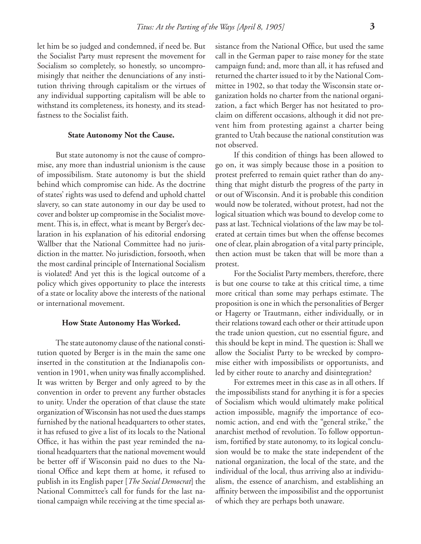let him be so judged and condemned, if need be. But the Socialist Party must represent the movement for Socialism so completely, so honestly, so uncompromisingly that neither the denunciations of any institution thriving through capitalism or the virtues of any individual supporting capitalism will be able to withstand its completeness, its honesty, and its steadfastness to the Socialist faith.

#### **State Autonomy Not the Cause.**

But state autonomy is not the cause of compromise, any more than industrial unionism is the cause of impossibilism. State autonomy is but the shield behind which compromise can hide. As the doctrine of states' rights was used to defend and uphold chattel slavery, so can state autonomy in our day be used to cover and bolster up compromise in the Socialist movement. This is, in effect, what is meant by Berger's declaration in his explanation of his editorial endorsing Wallber that the National Committee had no jurisdiction in the matter. No jurisdiction, forsooth, when the most cardinal principle of International Socialism is violated! And yet this is the logical outcome of a policy which gives opportunity to place the interests of a state or locality above the interests of the national or international movement.

#### **How State Autonomy Has Worked.**

The state autonomy clause of the national constitution quoted by Berger is in the main the same one inserted in the constitution at the Indianapolis convention in 1901, when unity was finally accomplished. It was written by Berger and only agreed to by the convention in order to prevent any further obstacles to unity. Under the operation of that clause the state organization of Wisconsin has not used the dues stamps furnished by the national headquarters to other states, it has refused to give a list of its locals to the National Office, it has within the past year reminded the national headquarters that the national movement would be better off if Wisconsin paid no dues to the National Office and kept them at home, it refused to publish in its English paper [*The Social Democrat*] the National Committee's call for funds for the last national campaign while receiving at the time special assistance from the National Office, but used the same call in the German paper to raise money for the state campaign fund; and, more than all, it has refused and returned the charter issued to it by the National Committee in 1902, so that today the Wisconsin state organization holds no charter from the national organization, a fact which Berger has not hesitated to proclaim on different occasions, although it did not prevent him from protesting against a charter being granted to Utah because the national constitution was not observed.

If this condition of things has been allowed to go on, it was simply because those in a position to protest preferred to remain quiet rather than do anything that might disturb the progress of the party in or out of Wisconsin. And it is probable this condition would now be tolerated, without protest, had not the logical situation which was bound to develop come to pass at last. Technical violations of the law may be tolerated at certain times but when the offense becomes one of clear, plain abrogation of a vital party principle, then action must be taken that will be more than a protest.

For the Socialist Party members, therefore, there is but one course to take at this critical time, a time more critical than some may perhaps estimate. The proposition is one in which the personalities of Berger or Hagerty or Trautmann, either individually, or in their relations toward each other or their attitude upon the trade union question, cut no essential figure, and this should be kept in mind. The question is: Shall we allow the Socialist Party to be wrecked by compromise either with impossibilists or opportunists, and led by either route to anarchy and disintegration?

For extremes meet in this case as in all others. If the impossibilists stand for anything it is for a species of Socialism which would ultimately make political action impossible, magnify the importance of economic action, and end with the "general strike," the anarchist method of revolution. To follow opportunism, fortified by state autonomy, to its logical conclusion would be to make the state independent of the national organization, the local of the state, and the individual of the local, thus arriving also at individualism, the essence of anarchism, and establishing an affinity between the impossibilist and the opportunist of which they are perhaps both unaware.